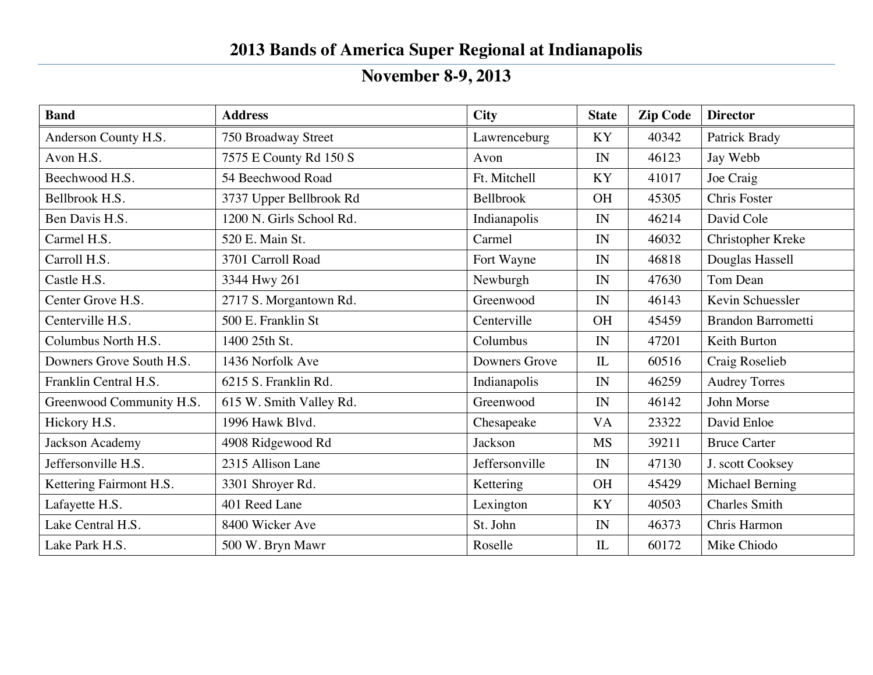## **2013 Bands of America Super Regional at Indianapolis**

## **November 8-9, 2013**

| <b>Band</b>              | <b>Address</b>           | <b>City</b>    | <b>State</b> | <b>Zip Code</b> | <b>Director</b>           |
|--------------------------|--------------------------|----------------|--------------|-----------------|---------------------------|
| Anderson County H.S.     | 750 Broadway Street      | Lawrenceburg   | <b>KY</b>    | 40342           | Patrick Brady             |
| Avon H.S.                | 7575 E County Rd 150 S   | Avon           | IN           | 46123           | Jay Webb                  |
| Beechwood H.S.           | 54 Beechwood Road        | Ft. Mitchell   | <b>KY</b>    | 41017           | Joe Craig                 |
| Bellbrook H.S.           | 3737 Upper Bellbrook Rd  | Bellbrook      | <b>OH</b>    | 45305           | Chris Foster              |
| Ben Davis H.S.           | 1200 N. Girls School Rd. | Indianapolis   | IN           | 46214           | David Cole                |
| Carmel H.S.              | 520 E. Main St.          | Carmel         | IN           | 46032           | Christopher Kreke         |
| Carroll H.S.             | 3701 Carroll Road        | Fort Wayne     | IN           | 46818           | Douglas Hassell           |
| Castle H.S.              | 3344 Hwy 261             | Newburgh       | IN           | 47630           | Tom Dean                  |
| Center Grove H.S.        | 2717 S. Morgantown Rd.   | Greenwood      | IN           | 46143           | Kevin Schuessler          |
| Centerville H.S.         | 500 E. Franklin St       | Centerville    | <b>OH</b>    | 45459           | <b>Brandon Barrometti</b> |
| Columbus North H.S.      | 1400 25th St.            | Columbus       | IN           | 47201           | Keith Burton              |
| Downers Grove South H.S. | 1436 Norfolk Ave         | Downers Grove  | IL           | 60516           | Craig Roselieb            |
| Franklin Central H.S.    | 6215 S. Franklin Rd.     | Indianapolis   | IN           | 46259           | <b>Audrey Torres</b>      |
| Greenwood Community H.S. | 615 W. Smith Valley Rd.  | Greenwood      | IN           | 46142           | John Morse                |
| Hickory H.S.             | 1996 Hawk Blvd.          | Chesapeake     | <b>VA</b>    | 23322           | David Enloe               |
| Jackson Academy          | 4908 Ridgewood Rd        | Jackson        | <b>MS</b>    | 39211           | <b>Bruce Carter</b>       |
| Jeffersonville H.S.      | 2315 Allison Lane        | Jeffersonville | IN           | 47130           | J. scott Cooksey          |
| Kettering Fairmont H.S.  | 3301 Shroyer Rd.         | Kettering      | <b>OH</b>    | 45429           | Michael Berning           |
| Lafayette H.S.           | 401 Reed Lane            | Lexington      | <b>KY</b>    | 40503           | <b>Charles Smith</b>      |
| Lake Central H.S.        | 8400 Wicker Ave          | St. John       | IN           | 46373           | Chris Harmon              |
| Lake Park H.S.           | 500 W. Bryn Mawr         | Roselle        | IL           | 60172           | Mike Chiodo               |